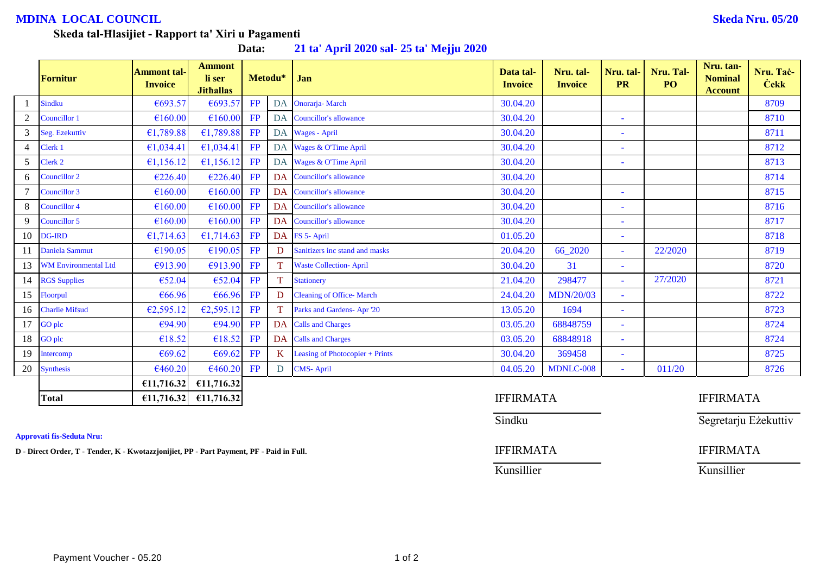# **MDINA LOCAL COUNCIL Skeda Nru. 05/20**

## **Skeda tal-Ħlasijiet - Rapport ta' Xiri u Pagamenti**

**Data: 21 ta' April 2020 sal- 25 ta' Mejju 2020**

|                | Fornitur                    | <b>Ammont tal-</b><br><b>Invoice</b> | <b>Ammont</b><br>li ser<br><b>Jithallas</b> |    | Metodu*         | Jan                             | Data tal-<br><b>Invoice</b> | Nru. tal-<br><b>Invoice</b> | Nru. tal-<br><b>PR</b> | Nru. Tal-<br>P <sub>O</sub> | Nru. tan-<br><b>Nominal</b><br><b>Account</b> | Nru. Tač-<br><b>Cekk</b> |  |
|----------------|-----------------------------|--------------------------------------|---------------------------------------------|----|-----------------|---------------------------------|-----------------------------|-----------------------------|------------------------|-----------------------------|-----------------------------------------------|--------------------------|--|
|                | <b>Sindku</b>               | €693.57                              | €693.57                                     | FP | DA              | <b>Onorarja-March</b>           | 30.04.20                    |                             |                        |                             |                                               | 8709                     |  |
|                | Councillor 1                | €160.00                              | €160.00                                     | FP | DA              | <b>Councillor's allowance</b>   | 30.04.20                    |                             | ۳                      |                             |                                               | 8710                     |  |
| 3              | Seg. Ezekuttiv              | €1,789.88                            | £1,789.88                                   | FP |                 | DA Wages - April                | 30.04.20                    |                             |                        |                             |                                               | 8711                     |  |
| $\overline{4}$ | Clerk 1                     | €1,034.41                            | £1,034.41                                   | FP |                 | DA Wages & O'Time April         | 30.04.20                    |                             | ٠                      |                             |                                               | 8712                     |  |
| 5              | Clerk 2                     | €1,156.12                            | £1,156.12                                   | FP |                 | DA Wages & O'Time April         | 30.04.20                    |                             | ۳                      |                             |                                               | 8713                     |  |
| 6              | <b>Councillor 2</b>         | €226.40                              | €226.40                                     | FP | DA              | Councillor's allowance          | 30.04.20                    |                             |                        |                             |                                               | 8714                     |  |
|                | <b>Councillor 3</b>         | €160.00                              | €160.00                                     | FP | DA              | <b>Councillor's allowance</b>   | 30.04.20                    |                             | Ξ                      |                             |                                               | 8715                     |  |
| 8              | <b>Councillor 4</b>         | €160.00                              | €160.00                                     | FP | DA              | Councillor's allowance          | 30.04.20                    |                             | ۰                      |                             |                                               | 8716                     |  |
| 9              | Councillor 5                | €160.00                              | €160.00                                     | FP | DA              | Councillor's allowance          | 30.04.20                    |                             | ٠                      |                             |                                               | 8717                     |  |
| 10             | <b>DG-IRD</b>               | €1,714.63                            | £1,714.63                                   | FP |                 | DA FS 5- April                  | 01.05.20                    |                             | ۳                      |                             |                                               | 8718                     |  |
| 11             | Daniela Sammut              | €190.05                              | €190.05                                     | FP | D               | Sanitizers inc stand and masks  | 20.04.20                    | 66_2020                     | ÷.                     | 22/2020                     |                                               | 8719                     |  |
| 13             | <b>WM Environmental Ltd</b> | €913.90                              | €913.90                                     | FP |                 | <b>Waste Collection-April</b>   | 30.04.20                    | 31                          | ÷                      |                             |                                               | 8720                     |  |
|                | 14 RGS Supplies             | €52.04                               | €52.04                                      | FP |                 | <b>Stationery</b>               | 21.04.20                    | 298477                      | ٠                      | 27/2020                     |                                               | 8721                     |  |
| 15             | Floorpul                    | €66.96                               | €66.96                                      | FP | D               | <b>Cleaning of Office-March</b> | 24.04.20                    | <b>MDN/20/03</b>            | $\sim$                 |                             |                                               | 8722                     |  |
| 16             | <b>Charlie Mifsud</b>       | €2,595.12                            | E2,595.12                                   | FP |                 | Parks and Gardens-Apr '20       | 13.05.20                    | 1694                        | $\sim$                 |                             |                                               | 8723                     |  |
| 17             | GO plc                      | €94.90                               | €94.90                                      | FP | DA              | <b>Calls and Charges</b>        | 03.05.20                    | 68848759                    | ٠                      |                             |                                               | 8724                     |  |
| 18             | GO plc                      | €18.52                               | €18.52                                      | FP | DA              | <b>Calls and Charges</b>        | 03.05.20                    | 68848918                    | $\sim$                 |                             |                                               | 8724                     |  |
| 19             | Intercomp                   | €69.62                               | €69.62                                      | FP | $K_{\parallel}$ | Leasing of Photocopier + Prints | 30.04.20                    | 369458                      | Ξ                      |                             |                                               | 8725                     |  |
| 20             | <b>Synthesis</b>            | €460.20                              | €460.20                                     | FP | D               | <b>CMS-April</b>                | 04.05.20                    | MDNLC-008                   | ÷.                     | 011/20                      |                                               | 8726                     |  |
|                |                             | €11,716.32                           | €11,716.32                                  |    |                 |                                 |                             |                             |                        |                             |                                               |                          |  |
|                | <b>Total</b>                | £11,716.32                           | £11,716.32                                  |    |                 |                                 | <b>IFFIRMATA</b>            |                             |                        | <b>IFFIRMATA</b>            |                                               |                          |  |

**Approvati fis-Seduta Nru:**

**D** - Direct Order, T - Tender, K - Kwotazzjonijiet, PP - Part Payment, PF - Paid in Full. **IFFIRMATA** IFFIRMATA

# Sindku Segretarju Eżekuttiv

Kunsillier Kunsillier